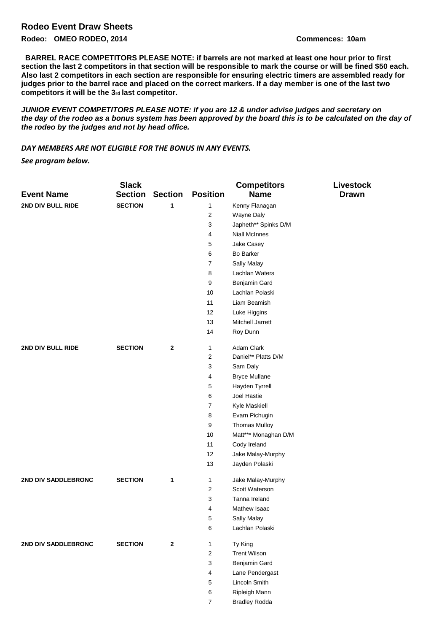## **Rodeo Event Draw Sheets**

**Rodeo: OMEO RODEO, 2014 Commences: 10am**

**BARREL RACE COMPETITORS PLEASE NOTE: if barrels are not marked at least one hour prior to first section the last 2 competitors in that section will be responsible to mark the course or will be fined \$50 each. Also last 2 competitors in each section are responsible for ensuring electric timers are assembled ready for judges prior to the barrel race and placed on the correct markers. If a day member is one of the last two competitors it will be the 3rd last competitor.** 

*JUNIOR EVENT COMPETITORS PLEASE NOTE: if you are 12 & under advise judges and secretary on the day of the rodeo as a bonus system has been approved by the board this is to be calculated on the day of the rodeo by the judges and not by head office.* 

## *DAY MEMBERS ARE NOT ELIGIBLE FOR THE BONUS IN ANY EVENTS.*

*See program below.*

|                     | <b>Slack</b>   |                |                 | <b>Competitors</b>   | <b>Livestock</b> |
|---------------------|----------------|----------------|-----------------|----------------------|------------------|
| <b>Event Name</b>   | <b>Section</b> | <b>Section</b> | <b>Position</b> | <b>Name</b>          | <b>Drawn</b>     |
| 2ND DIV BULL RIDE   | <b>SECTION</b> | 1              | 1               | Kenny Flanagan       |                  |
|                     |                |                | 2               | Wayne Daly           |                  |
|                     |                |                | 3               | Japheth** Spinks D/M |                  |
|                     |                |                | 4               | <b>Niall McInnes</b> |                  |
|                     |                |                | 5               | Jake Casey           |                  |
|                     |                |                | 6               | <b>Bo Barker</b>     |                  |
|                     |                |                | 7               | Sally Malay          |                  |
|                     |                |                | 8               | Lachlan Waters       |                  |
|                     |                |                | 9               | Benjamin Gard        |                  |
|                     |                |                | 10              | Lachlan Polaski      |                  |
|                     |                |                | 11              | Liam Beamish         |                  |
|                     |                |                | 12              | Luke Higgins         |                  |
|                     |                |                | 13              | Mitchell Jarrett     |                  |
|                     |                |                | 14              | Roy Dunn             |                  |
| 2ND DIV BULL RIDE   | <b>SECTION</b> | $\mathbf{2}$   | 1               | Adam Clark           |                  |
|                     |                |                | 2               | Daniel** Platts D/M  |                  |
|                     |                |                | 3               | Sam Daly             |                  |
|                     |                |                | 4               | <b>Bryce Mullane</b> |                  |
|                     |                |                | 5               | Hayden Tyrrell       |                  |
|                     |                |                | 6               | Joel Hastie          |                  |
|                     |                |                | $\overline{7}$  | Kyle Maskiell        |                  |
|                     |                |                | 8               | Evarn Pichugin       |                  |
|                     |                |                | 9               | <b>Thomas Mulloy</b> |                  |
|                     |                |                | 10              | Matt*** Monaghan D/M |                  |
|                     |                |                | 11              | Cody Ireland         |                  |
|                     |                |                | 12              | Jake Malay-Murphy    |                  |
|                     |                |                | 13              | Jayden Polaski       |                  |
| 2ND DIV SADDLEBRONC | <b>SECTION</b> | 1              | 1               | Jake Malay-Murphy    |                  |
|                     |                |                | 2               | Scott Waterson       |                  |
|                     |                |                | 3               | Tanna Ireland        |                  |
|                     |                |                | 4               | Mathew Isaac         |                  |
|                     |                |                | 5               | Sally Malay          |                  |
|                     |                |                | 6               | Lachlan Polaski      |                  |
| 2ND DIV SADDLEBRONC | <b>SECTION</b> | $\mathbf{2}$   | 1               | Ty King              |                  |
|                     |                |                | 2               | <b>Trent Wilson</b>  |                  |
|                     |                |                | 3               | Benjamin Gard        |                  |
|                     |                |                | 4               | Lane Pendergast      |                  |
|                     |                |                | 5               | Lincoln Smith        |                  |
|                     |                |                | 6               | Ripleigh Mann        |                  |
|                     |                |                | $\overline{7}$  | <b>Bradley Rodda</b> |                  |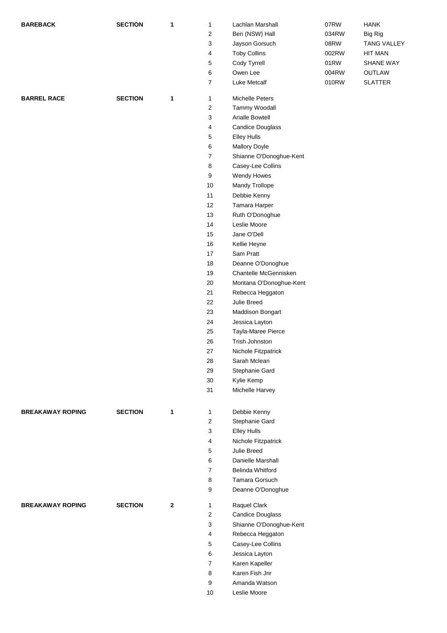| <b>BAREBACK</b>         | <b>SECTION</b> | 1       | $\mathbf{1}$   | Lachlan Marshall        | 07RW  | <b>HANK</b>        |
|-------------------------|----------------|---------|----------------|-------------------------|-------|--------------------|
|                         |                |         | 2              | Ben (NSW) Hall          | 034RW | <b>Big Rig</b>     |
|                         |                |         | 3              | Jayson Gorsuch          | 08RW  | <b>TANG VALLEY</b> |
|                         |                |         | 4              | <b>Toby Collins</b>     | 002RW | <b>HIT MAN</b>     |
|                         |                |         | 5              | Cody Tyrrell            | 01RW  | SHANE WAY          |
|                         |                |         | 6              | Owen Lee                | 004RW | OUTLAW             |
|                         |                |         | $\overline{7}$ | Luke Metcalf            | 010RW | <b>SLATTER</b>     |
|                         |                |         |                |                         |       |                    |
| <b>BARREL RACE</b>      | <b>SECTION</b> | 1       | $\mathbf{1}$   | Michelle Peters         |       |                    |
|                         |                |         | $\overline{c}$ | Tammy Woodall           |       |                    |
|                         |                |         | 3              | <b>Arialle Bowtell</b>  |       |                    |
|                         |                |         | 4              | <b>Candice Douglass</b> |       |                    |
|                         |                |         | 5              | <b>Elley Hulls</b>      |       |                    |
|                         |                |         | 6              | Mallory Doyle           |       |                    |
|                         |                |         | $\overline{7}$ | Shianne O'Donoghue-Kent |       |                    |
|                         |                |         | 8              | Casey-Lee Collins       |       |                    |
|                         |                |         | 9              | Wendy Howes             |       |                    |
|                         |                |         | 10             | Mandy Trollope          |       |                    |
|                         |                |         | 11             | Debbie Kenny            |       |                    |
|                         |                |         | 12             | Tamara Harper           |       |                    |
|                         |                |         | 13             | Ruth O'Donoghue         |       |                    |
|                         |                |         | 14             | Leslie Moore            |       |                    |
|                         |                |         | 15             | Jane O'Dell             |       |                    |
|                         |                |         | 16             | Kellie Heyne            |       |                    |
|                         |                |         | 17             | Sam Pratt               |       |                    |
|                         |                |         |                |                         |       |                    |
|                         |                |         | 18             | Deanne O'Donoghue       |       |                    |
|                         |                |         | 19             | Chantelle McGennisken   |       |                    |
|                         |                |         | 20             | Montana O'Donoghue-Kent |       |                    |
|                         |                |         | 21             | Rebecca Heggaton        |       |                    |
|                         |                |         | 22             | Julie Breed             |       |                    |
|                         |                |         | 23             | <b>Maddison Bongart</b> |       |                    |
|                         |                |         | 24             | Jessica Layton          |       |                    |
|                         |                |         | 25             | Tayla-Maree Pierce      |       |                    |
|                         |                |         | 26             | Trish Johnston          |       |                    |
|                         |                |         | 27             | Nichole Fitzpatrick     |       |                    |
|                         |                |         | 28             | Sarah Mclean            |       |                    |
|                         |                |         | 29             | Stephanie Gard          |       |                    |
|                         |                |         | 30             | Kylie Kemp              |       |                    |
|                         |                |         | 31             | Michelle Harvey         |       |                    |
|                         |                |         |                |                         |       |                    |
| <b>BREAKAWAY ROPING</b> | <b>SECTION</b> | 1       | $\mathbf{1}$   | Debbie Kenny            |       |                    |
|                         |                |         | $\overline{c}$ | Stephanie Gard          |       |                    |
|                         |                |         | 3              | <b>Elley Hulls</b>      |       |                    |
|                         |                |         | 4              | Nichole Fitzpatrick     |       |                    |
|                         |                |         | 5              | Julie Breed             |       |                    |
|                         |                |         | 6              | Danielle Marshall       |       |                    |
|                         |                |         | $\overline{7}$ | <b>Belinda Whitford</b> |       |                    |
|                         |                |         | 8              | Tamara Gorsuch          |       |                    |
|                         |                |         | 9              | Deanne O'Donoghue       |       |                    |
|                         |                |         |                |                         |       |                    |
| <b>BREAKAWAY ROPING</b> | <b>SECTION</b> | $\bf 2$ | $\mathbf{1}$   | Raquel Clark            |       |                    |
|                         |                |         | $\overline{c}$ | <b>Candice Douglass</b> |       |                    |
|                         |                |         | 3              | Shianne O'Donoghue-Kent |       |                    |
|                         |                |         | 4              | Rebecca Heggaton        |       |                    |
|                         |                |         | 5              | Casey-Lee Collins       |       |                    |
|                         |                |         | 6              | Jessica Layton          |       |                    |
|                         |                |         | $\overline{7}$ | Karen Kapeller          |       |                    |
|                         |                |         | 8              | Karen Fish Jnr          |       |                    |
|                         |                |         | 9              | Amanda Watson           |       |                    |
|                         |                |         | 10             | Leslie Moore            |       |                    |
|                         |                |         |                |                         |       |                    |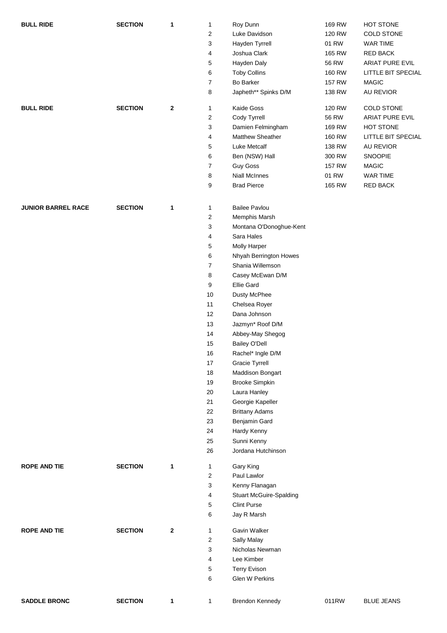| <b>BULL RIDE</b>          | <b>SECTION</b> | $\mathbf{1}$ | $\mathbf{1}$      | Roy Dunn                              | 169 RW       | HOT STONE          |
|---------------------------|----------------|--------------|-------------------|---------------------------------------|--------------|--------------------|
|                           |                |              | $\overline{2}$    | Luke Davidson                         | 120 RW       | COLD STONE         |
|                           |                |              | 3                 | Hayden Tyrrell                        | 01 RW        | <b>WAR TIME</b>    |
|                           |                |              | 4                 | Joshua Clark                          | 165 RW       | <b>RED BACK</b>    |
|                           |                |              | 5                 | Hayden Daly                           | <b>56 RW</b> | ARIAT PURE EVIL    |
|                           |                |              | 6                 | <b>Toby Collins</b>                   | 160 RW       | LITTLE BIT SPECIAL |
|                           |                |              | $\overline{7}$    | Bo Barker                             | 157 RW       | <b>MAGIC</b>       |
|                           |                |              | 8                 | Japheth** Spinks D/M                  | 138 RW       | <b>AU REVIOR</b>   |
| <b>BULL RIDE</b>          | <b>SECTION</b> | $\mathbf{2}$ | $\mathbf{1}$      | Kaide Goss                            | 120 RW       | COLD STONE         |
|                           |                |              | 2                 | Cody Tyrrell                          | 56 RW        | ARIAT PURE EVIL    |
|                           |                |              | 3                 | Damien Felmingham                     | 169 RW       | HOT STONE          |
|                           |                |              | 4                 | <b>Matthew Sheather</b>               | 160 RW       | LITTLE BIT SPECIAL |
|                           |                |              | 5                 | Luke Metcalf                          | 138 RW       | AU REVIOR          |
|                           |                |              | 6                 | Ben (NSW) Hall                        | 300 RW       | SNOOPIE            |
|                           |                |              | $\overline{7}$    | <b>Guy Goss</b>                       | 157 RW       | <b>MAGIC</b>       |
|                           |                |              | 8                 | <b>Niall McInnes</b>                  | 01 RW        | WAR TIME           |
|                           |                |              | 9                 | <b>Brad Pierce</b>                    | 165 RW       | RED BACK           |
| <b>JUNIOR BARREL RACE</b> | <b>SECTION</b> | 1            | $\mathbf{1}$      | <b>Bailee Pavlou</b>                  |              |                    |
|                           |                |              | $\overline{c}$    | Memphis Marsh                         |              |                    |
|                           |                |              | 3                 | Montana O'Donoghue-Kent               |              |                    |
|                           |                |              | 4                 | Sara Hales                            |              |                    |
|                           |                |              | 5                 | Molly Harper                          |              |                    |
|                           |                |              | 6                 | Nhyah Berrington Howes                |              |                    |
|                           |                |              | $\overline{7}$    | Shania Willemson                      |              |                    |
|                           |                |              |                   |                                       |              |                    |
|                           |                |              | 8                 | Casey McEwan D/M<br><b>Ellie Gard</b> |              |                    |
|                           |                |              | 9                 |                                       |              |                    |
|                           |                |              | 10                | Dusty McPhee                          |              |                    |
|                           |                |              | 11                | Chelsea Royer                         |              |                    |
|                           |                |              | 12                | Dana Johnson                          |              |                    |
|                           |                |              | 13                | Jazmyn* Roof D/M                      |              |                    |
|                           |                |              | 14                | Abbey-May Shegog                      |              |                    |
|                           |                |              | 15                | <b>Bailey O'Dell</b>                  |              |                    |
|                           |                |              | 16                | Rachel* Ingle D/M                     |              |                    |
|                           |                |              | 17                | <b>Gracie Tyrrell</b>                 |              |                    |
|                           |                |              | 18                | <b>Maddison Bongart</b>               |              |                    |
|                           |                |              | 19                | <b>Brooke Simpkin</b>                 |              |                    |
|                           |                |              | 20                | Laura Hanley                          |              |                    |
|                           |                |              | 21                | Georgie Kapeller                      |              |                    |
|                           |                |              | 22                | <b>Brittany Adams</b>                 |              |                    |
|                           |                |              | 23                | Benjamin Gard                         |              |                    |
|                           |                |              | 24                | Hardy Kenny                           |              |                    |
|                           |                |              | 25                | Sunni Kenny                           |              |                    |
|                           |                |              | 26                | Jordana Hutchinson                    |              |                    |
| <b>ROPE AND TIE</b>       | <b>SECTION</b> | 1            | $\mathbf{1}$<br>2 | Gary King<br>Paul Lawlor              |              |                    |
|                           |                |              |                   |                                       |              |                    |
|                           |                |              | 3                 | Kenny Flanagan                        |              |                    |
|                           |                |              | 4                 | <b>Stuart McGuire-Spalding</b>        |              |                    |
|                           |                |              | 5<br>6            | <b>Clint Purse</b><br>Jay R Marsh     |              |                    |
| <b>ROPE AND TIE</b>       | <b>SECTION</b> | $\mathbf{2}$ | $\mathbf{1}$      | Gavin Walker                          |              |                    |
|                           |                |              | $\overline{c}$    | Sally Malay                           |              |                    |
|                           |                |              | 3                 | Nicholas Newman                       |              |                    |
|                           |                |              | 4                 | Lee Kimber                            |              |                    |
|                           |                |              | 5                 | <b>Terry Evison</b>                   |              |                    |
|                           |                |              | 6                 | Glen W Perkins                        |              |                    |
|                           |                |              |                   |                                       |              |                    |
| <b>SADDLE BRONC</b>       | <b>SECTION</b> | $\mathbf{1}$ | $\mathbf{1}$      | <b>Brendon Kennedy</b>                | 011RW        | <b>BLUE JEANS</b>  |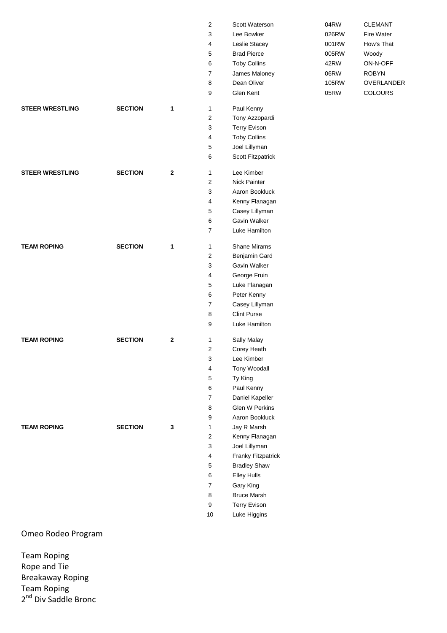|                        |                |              | $\overline{2}$                 | Scott Waterson                 |
|------------------------|----------------|--------------|--------------------------------|--------------------------------|
|                        |                |              | 3                              | Lee Bowker                     |
|                        |                |              | 4                              | Leslie Stacey                  |
|                        |                |              | 5                              | <b>Brad Pierce</b>             |
|                        |                |              | 6                              | <b>Toby Collins</b>            |
|                        |                |              | $\overline{7}$                 | James Maloney                  |
|                        |                |              | 8                              | Dean Oliver                    |
|                        |                |              | 9                              | Glen Kent                      |
|                        |                |              |                                |                                |
| <b>STEER WRESTLING</b> | <b>SECTION</b> | $\mathbf{1}$ | 1                              | Paul Kenny                     |
|                        |                |              | $\overline{2}$                 | Tony Azzopardi                 |
|                        |                |              | 3                              | <b>Terry Evison</b>            |
|                        |                |              | $\overline{4}$                 | <b>Toby Collins</b>            |
|                        |                |              | 5                              | Joel Lillyman                  |
|                        |                |              | 6                              | Scott Fitzpatrick              |
| <b>STEER WRESTLING</b> | <b>SECTION</b> | $\mathbf{2}$ | $\mathbf{1}$                   | Lee Kimber                     |
|                        |                |              | $\overline{2}$                 | <b>Nick Painter</b>            |
|                        |                |              | 3                              | Aaron Bookluck                 |
|                        |                |              | 4                              | Kenny Flanagan                 |
|                        |                |              |                                |                                |
|                        |                |              | 5<br>6                         | Casey Lillyman<br>Gavin Walker |
|                        |                |              |                                |                                |
|                        |                |              | $\overline{7}$                 | Luke Hamilton                  |
| <b>TEAM ROPING</b>     | <b>SECTION</b> | 1            | $\mathbf{1}$                   | <b>Shane Mirams</b>            |
|                        |                |              | $\overline{2}$                 | Benjamin Gard                  |
|                        |                |              | 3                              | Gavin Walker                   |
|                        |                |              | 4                              | George Fruin                   |
|                        |                |              | 5                              | Luke Flanagan                  |
|                        |                |              | 6                              | Peter Kenny                    |
|                        |                |              | $\overline{7}$                 | Casey Lillyman                 |
|                        |                |              | 8                              | <b>Clint Purse</b>             |
|                        |                |              | 9                              | Luke Hamilton                  |
|                        |                |              |                                |                                |
| <b>TEAM ROPING</b>     | <b>SECTION</b> | $\mathbf{2}$ | $\mathbf{1}$<br>$\overline{2}$ | Sally Malay                    |
|                        |                |              |                                | Corey Heath                    |
|                        |                |              | 3                              | Lee Kimber                     |
|                        |                |              | 4                              | Tony Woodall                   |
|                        |                |              | 5                              | Ty King                        |
|                        |                |              | 6                              | Paul Kenny                     |
|                        |                |              | $\overline{7}$                 | Daniel Kapeller                |
|                        |                |              | 8                              | Glen W Perkins                 |
|                        |                |              | 9                              | Aaron Bookluck                 |
| <b>TEAM ROPING</b>     | <b>SECTION</b> | 3            | 1                              | Jay R Marsh                    |
|                        |                |              | $\mathbf{2}$                   | Kenny Flanagan                 |
|                        |                |              | 3                              | Joel Lillyman                  |
|                        |                |              | $\overline{4}$                 | Franky Fitzpatrick             |
|                        |                |              | 5                              | <b>Bradley Shaw</b>            |
|                        |                |              | 6                              | <b>Elley Hulls</b>             |
|                        |                |              | 7                              | Gary King                      |
|                        |                |              | 8                              | <b>Bruce Marsh</b>             |
|                        |                |              | 9                              | Terry Evison                   |
|                        |                |              | 10                             | Luke Higgins                   |
|                        |                |              |                                |                                |

04RW CLEMANT 026RW Fire Water 001RW How's That 005RW Woody 42RW ON-N-OFF 06RW ROBYN 105RW OVERLANDER 05RW COLOURS

Omeo Rodeo Program

Team Roping Rope and Tie Breakaway Roping Team Roping 2<sup>nd</sup> Div Saddle Bronc